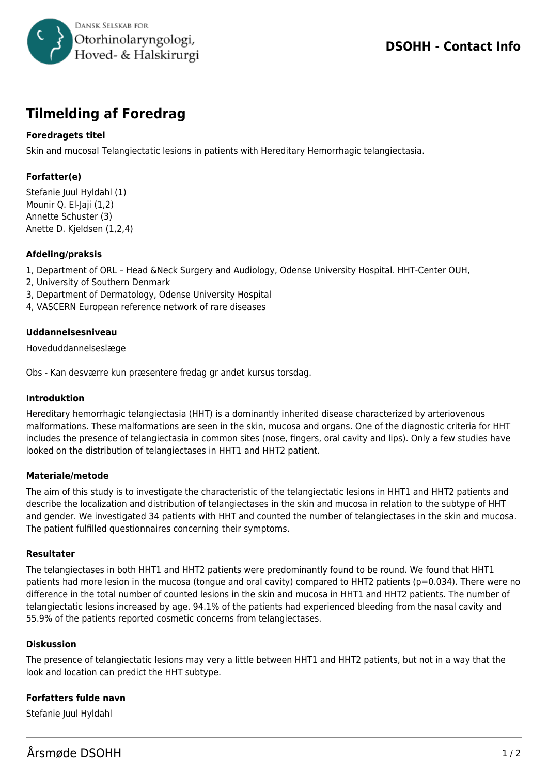

# **Tilmelding af Foredrag**

# **Foredragets titel**

Skin and mucosal Telangiectatic lesions in patients with Hereditary Hemorrhagic telangiectasia.

# **Forfatter(e)**

Stefanie Juul Hyldahl (1) Mounir Q. El-Jaji (1,2) Annette Schuster (3) Anette D. Kjeldsen (1,2,4)

# **Afdeling/praksis**

- 1, Department of ORL Head &Neck Surgery and Audiology, Odense University Hospital. HHT-Center OUH,
- 2, University of Southern Denmark
- 3, Department of Dermatology, Odense University Hospital
- 4, VASCERN European reference network of rare diseases

# **Uddannelsesniveau**

Hoveduddannelseslæge

Obs - Kan desværre kun præsentere fredag gr andet kursus torsdag.

#### **Introduktion**

Hereditary hemorrhagic telangiectasia (HHT) is a dominantly inherited disease characterized by arteriovenous malformations. These malformations are seen in the skin, mucosa and organs. One of the diagnostic criteria for HHT includes the presence of telangiectasia in common sites (nose, fingers, oral cavity and lips). Only a few studies have looked on the distribution of telangiectases in HHT1 and HHT2 patient.

# **Materiale/metode**

The aim of this study is to investigate the characteristic of the telangiectatic lesions in HHT1 and HHT2 patients and describe the localization and distribution of telangiectases in the skin and mucosa in relation to the subtype of HHT and gender. We investigated 34 patients with HHT and counted the number of telangiectases in the skin and mucosa. The patient fulfilled questionnaires concerning their symptoms.

# **Resultater**

The telangiectases in both HHT1 and HHT2 patients were predominantly found to be round. We found that HHT1 patients had more lesion in the mucosa (tongue and oral cavity) compared to HHT2 patients (p=0.034). There were no difference in the total number of counted lesions in the skin and mucosa in HHT1 and HHT2 patients. The number of telangiectatic lesions increased by age. 94.1% of the patients had experienced bleeding from the nasal cavity and 55.9% of the patients reported cosmetic concerns from telangiectases.

# **Diskussion**

The presence of telangiectatic lesions may very a little between HHT1 and HHT2 patients, but not in a way that the look and location can predict the HHT subtype.

# **Forfatters fulde navn**

Stefanie Juul Hyldahl